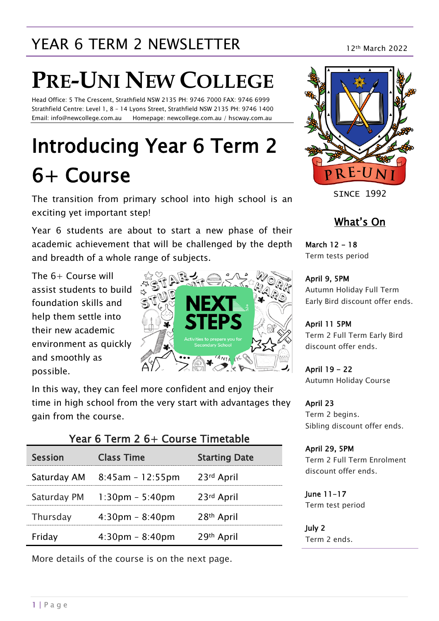# YEAR 6 TERM 2 NEWSLETTER 12th March 2022

# **PRE-UNI NEW COLLEGE**

Head Office: 5 The Crescent, Strathfield NSW 2135 PH: 9746 7000 FAX: 9746 6999 Strathfield Centre: Level 1, 8 – 14 Lyons Street, Strathfield NSW 2135 PH: 9746 1400 Email: info@newcollege.com.au Homepage: newcollege.com.au / hscway.com.au

# Introducing Year 6 Term 2 6+ Course

The transition from primary school into high school is an exciting yet important step!

Year 6 students are about to start a new phase of their academic achievement that will be challenged by the depth and breadth of a whole range of subjects.

The 6+ Course will assist students to build foundation skills and help them settle into their new academic environment as quickly and smoothly as possible.



In this way, they can feel more confident and enjoy their time in high school from the very start with advantages they gain from the course.

 $\epsilon$   $\tau$   $\epsilon$   $\epsilon$   $\tau$   $\tau$   $\epsilon$   $\epsilon$   $\tau$   $\tau$ 

| rear 6 Term z 6+ Course Timetable |                                           |                      |  |  |  |  |
|-----------------------------------|-------------------------------------------|----------------------|--|--|--|--|
| <b>Session</b>                    | <b>Class Time</b>                         | <b>Starting Date</b> |  |  |  |  |
|                                   | Saturday AM $8:45am - 12:55pm$ 23rd April |                      |  |  |  |  |
|                                   | Saturday PM 1:30pm - 5:40pm               | 23rd April           |  |  |  |  |
| Thursday                          | $4:30 \text{pm} - 8:40 \text{pm}$         | 28th April           |  |  |  |  |
| Friday                            | $4:30 \text{pm} - 8:40 \text{pm}$         | 29th April           |  |  |  |  |

More details of the course is on the next page.



SINCE 1992

### What's On

March 12 - 18 Term tests period

April 9, 5PM Autumn Holiday Full Term Early Bird discount offer ends.

April 11 5PM Term 2 Full Term Early Bird discount offer ends.

April 19 - 22 Autumn Holiday Course

April 23 Term 2 begins. Sibling discount offer ends.

April 29, 5PM Term 2 Full Term Enrolment discount offer ends.

June 11-17 Term test period

July 2 Term 2 ends.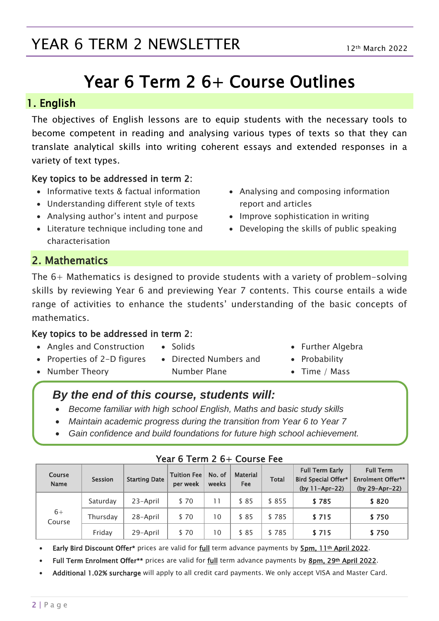# YEAR 6 TERM 2 NEWSLETTER

# Year 6 Term 2 6+ Course Outlines

### 1. English

The objectives of English lessons are to equip students with the necessary tools to become competent in reading and analysing various types of texts so that they can translate analytical skills into writing coherent essays and extended responses in a variety of text types.

### Key topics to be addressed in term 2:

- Informative texts & factual information
- Understanding different style of texts
- Analysing author's intent and purpose
- Literature technique including tone and characterisation
- Analysing and composing information report and articles
- Improve sophistication in writing
- Developing the skills of public speaking

### 2. Mathematics

The 6+ Mathematics is designed to provide students with a variety of problem-solving skills by reviewing Year 6 and previewing Year 7 contents. This course entails a wide range of activities to enhance the students' understanding of the basic concepts of mathematics.

### Key topics to be addressed in term 2:

- Angles and Construction
- Solids
- 
- Further Algebra
- Probability
- Time / Mass

#### • Properties of 2-D figures • Number Theory

- Directed Numbers and Number Plane
- *By the end of this course, students will:*
- *Become familiar with high school English, Maths and basic study skills*
- *Maintain academic progress during the transition from Year 6 to Year 7*
- *Gain confidence and build foundations for future high school achievement.*

| <b>Course</b><br><b>Name</b> | <b>Session</b> | <b>Starting Date</b> | <b>Tuition Fee</b><br>per week | No. of<br>weeks | <b>Material</b><br><b>Fee</b> | <b>Total</b> | <b>Full Term Early</b><br><b>Bird Special Offer*</b><br>(by 11-Apr-22) | <b>Full Term</b><br><b>Enrolment Offer**</b><br>(by 29-Apr-22) |
|------------------------------|----------------|----------------------|--------------------------------|-----------------|-------------------------------|--------------|------------------------------------------------------------------------|----------------------------------------------------------------|
| $6+$<br>Course               | Saturday       | 23-April             | \$70                           | 11              | \$85                          | \$855        | \$785                                                                  | \$820                                                          |
|                              | Thursday       | 28-April             | \$70                           | 10              | \$85                          | \$785        | \$715                                                                  | \$750                                                          |
|                              | Friday         | 29-April             | \$70                           | 10              | \$85                          | \$785        | \$715                                                                  | \$750                                                          |

#### Year 6 Term 2 6+ Course Fee

- Early Bird Discount Offer\* prices are valid for full term advance payments by 5pm, 11th April 2022.
- Full Term Enrolment Offer\*\* prices are valid for full term advance payments by 8pm, 29th April 2022.
- Additional 1.02% surcharge will apply to all credit card payments. We only accept VISA and Master Card.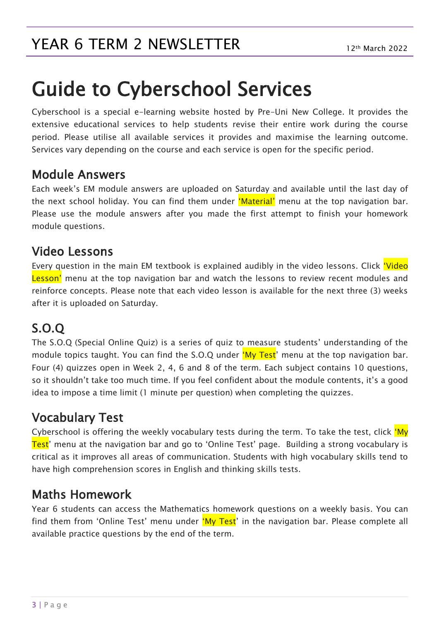# Guide to Cyberschool Services

Cyberschool is a special e-learning website hosted by Pre-Uni New College. It provides the extensive educational services to help students revise their entire work during the course period. Please utilise all available services it provides and maximise the learning outcome. Services vary depending on the course and each service is open for the specific period.

### Module Answers

Each week's EM module answers are uploaded on Saturday and available until the last day of the next school holiday. You can find them under 'Material' menu at the top navigation bar. Please use the module answers after you made the first attempt to finish your homework module questions.

### Video Lessons

Every question in the main EM textbook is explained audibly in the video lessons. Click 'Video Lesson' menu at the top navigation bar and watch the lessons to review recent modules and reinforce concepts. Please note that each video lesson is available for the next three (3) weeks after it is uploaded on Saturday.

## S.O.Q

The S.O.Q (Special Online Quiz) is a series of quiz to measure students' understanding of the module topics taught. You can find the S.O.Q under 'My Test' menu at the top navigation bar. Four (4) quizzes open in Week 2, 4, 6 and 8 of the term. Each subject contains 10 questions, so it shouldn't take too much time. If you feel confident about the module contents, it's a good idea to impose a time limit (1 minute per question) when completing the quizzes.

### Vocabulary Test

Cyberschool is offering the weekly vocabulary tests during the term. To take the test, click 'My Test' menu at the navigation bar and go to 'Online Test' page. Building a strong vocabulary is critical as it improves all areas of communication. Students with high vocabulary skills tend to have high comprehension scores in English and thinking skills tests.

### Maths Homework

Year 6 students can access the Mathematics homework questions on a weekly basis. You can find them from 'Online Test' menu under 'My Test' in the navigation bar. Please complete all available practice questions by the end of the term.